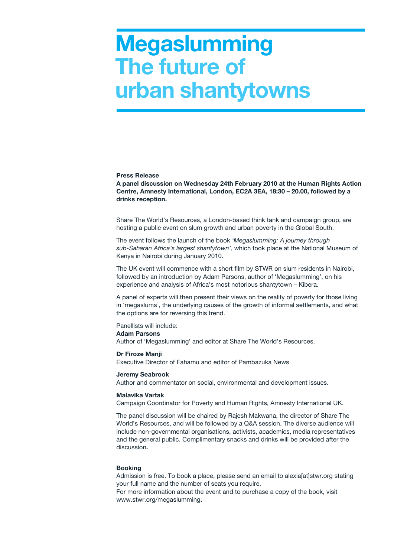# **Megaslumming The future of urban shantytowns**

#### **Press Release**

**A panel discussion on Wednesday 24th February 2010 at the Human Rights Action Centre, Amnesty International, London, EC2A 3EA, 18:30 – 20.00, followed by a drinks reception.**

Share The World's Resources, a London-based think tank and campaign group, are hosting a public event on slum growth and urban poverty in the Global South.

The event follows the launch of the book *'Megaslumming: A journey through sub-Saharan Africa's largest shantytown'*, which took place at the National Museum of Kenya in Nairobi during January 2010.

The UK event will commence with a short film by STWR on slum residents in Nairobi, followed by an introduction by Adam Parsons, author of 'Megaslumming', on his experience and analysis of Africa's most notorious shantytown – Kibera.

A panel of experts will then present their views on the reality of poverty for those living in 'megaslums', the underlying causes of the growth of informal settlements, and what the options are for reversing this trend.

### Panellists will include:

### **Adam Parsons**

Author of 'Megaslumming' and editor at Share The World's Resources.

#### **Dr Firoze Manji**

Executive Director of Fahamu and editor of Pambazuka News.

#### **Jeremy Seabrook**

Author and commentator on social, environmental and development issues.

### **Malavika Vartak**

Campaign Coordinator for Poverty and Human Rights, Amnesty International UK.

The panel discussion will be chaired by Rajesh Makwana, the director of Share The World's Resources, and will be followed by a Q&A session. The diverse audience will include non-governmental organisations, activists, academics, media representatives and the general public. Complimentary snacks and drinks will be provided after the discussion**.**

# **Booking**

Admission is free. To book a place, please send an email to alexia[at]stwr.org stating your full name and the number of seats you require.

For more information about the event and to purchase a copy of the book, visit www.stwr.org/megaslumming**.**